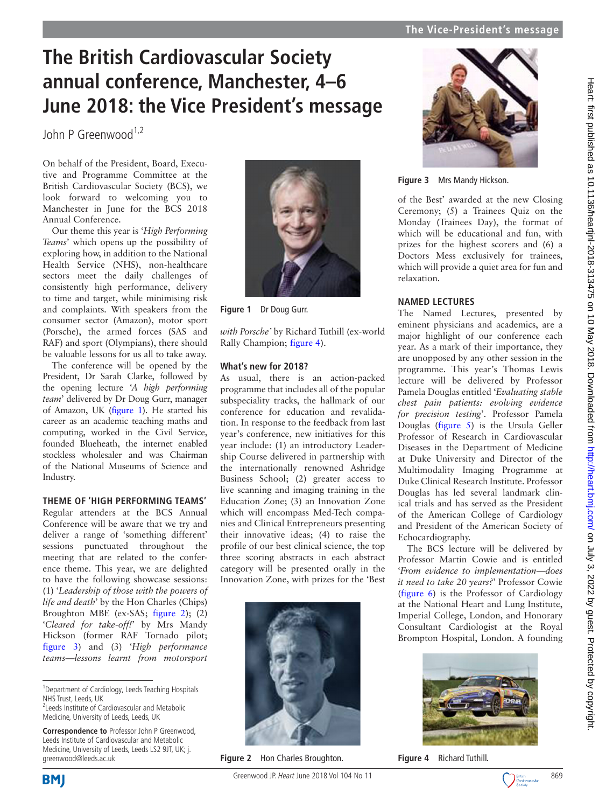# **The British Cardiovascular Society annual conference, Manchester, 4–6 June 2018: the Vice President's message**

 $John P$  Greenwood<sup>1,2</sup>

On behalf of the President, Board, Executive and Programme Committee at the British Cardiovascular Society (BCS), we look forward to welcoming you to Manchester in June for the BCS 2018 Annual Conference.

Our theme this year is '*High Performing Teams*' which opens up the possibility of exploring how, in addition to the National Health Service (NHS), non-healthcare sectors meet the daily challenges of consistently high performance, delivery to time and target, while minimising risk and complaints. With speakers from the consumer sector (Amazon), motor sport (Porsche), the armed forces (SAS and RAF) and sport (Olympians), there should be valuable lessons for us all to take away.

The conference will be opened by the President, Dr Sarah Clarke, followed by the opening lecture '*A high performing team*' delivered by Dr Doug Gurr, manager of Amazon, UK ([figure](#page-0-0) 1). He started his career as an academic teaching maths and computing, worked in the Civil Service, founded Blueheath, the internet enabled stockless wholesaler and was Chairman of the National Museums of Science and Industry.

## **Theme of 'High Performing Teams'**

Regular attenders at the BCS Annual Conference will be aware that we try and deliver a range of 'something different' sessions punctuated throughout the meeting that are related to the conference theme. This year, we are delighted to have the following showcase sessions: (1) '*Leadership of those with the powers of life and death*' by the Hon Charles (Chips) Broughton MBE (ex-SAS; [figure](#page-0-1) 2); (2) '*Cleared for take-off!*' by Mrs Mandy Hickson (former RAF Tornado pilot; [figure](#page-0-2) 3) and (3) '*High performance teams—lessons learnt from motorsport* 



**Figure 1** Dr Doug Gurr.

<span id="page-0-0"></span>*with Porsche'* by Richard Tuthill (ex-world Rally Champion; [figure](#page-0-3) 4).

## **What's new for 2018?**

As usual, there is an action-packed programme that includes all of the popular subspeciality tracks, the hallmark of our conference for education and revalidation. In response to the feedback from last year's conference, new initiatives for this year include: (1) an introductory Leadership Course delivered in partnership with the internationally renowned Ashridge Business School; (2) greater access to live scanning and imaging training in the Education Zone; (3) an Innovation Zone which will encompass Med-Tech companies and Clinical Entrepreneurs presenting their innovative ideas; (4) to raise the profile of our best clinical science, the top three scoring abstracts in each abstract category will be presented orally in the Innovation Zone, with prizes for the 'Best

<span id="page-0-1"></span>

**Figure 2** Hon Charles Broughton.



**Figure 3** Mrs Mandy Hickson.

<span id="page-0-2"></span>of the Best' awarded at the new Closing Ceremony; (5) a Trainees Quiz on the Monday (Trainees Day), the format of which will be educational and fun, with prizes for the highest scorers and (6) a Doctors Mess exclusively for trainees, which will provide a quiet area for fun and relaxation.

# **Named lectures**

The Named Lectures, presented by eminent physicians and academics, are a major highlight of our conference each year. As a mark of their importance, they are unopposed by any other session in the programme. This year's Thomas Lewis lecture will be delivered by Professor Pamela Douglas entitled '*Evaluating stable chest pain patients: evolving evidence for precision testing*'. Professor Pamela Douglas ([figure](#page-1-0) 5) is the Ursula Geller Professor of Research in Cardiovascular Diseases in the Department of Medicine at Duke University and Director of the Multimodality Imaging Programme at Duke Clinical Research Institute. Professor Douglas has led several landmark clinical trials and has served as the President of the American College of Cardiology and President of the American Society of Echocardiography.

The BCS lecture will be delivered by Professor Martin Cowie and is entitled '*From evidence to implementation—does it need to take 20 years?*' Professor Cowie [\(figure](#page-1-1) 6) is the Professor of Cardiology at the National Heart and Lung Institute, Imperial College, London, and Honorary Consultant Cardiologist at the Royal Brompton Hospital, London. A founding

<span id="page-0-3"></span>

**Figure 4** Richard Tuthill.



<sup>&</sup>lt;sup>1</sup> Department of Cardiology, Leeds Teaching Hospitals NHS Trust, Leeds, UK

<sup>&</sup>lt;sup>2</sup> Leeds Institute of Cardiovascular and Metabolic Medicine, University of Leeds, Leeds, UK

**Correspondence to** Professor John P Greenwood, Leeds Institute of Cardiovascular and Metabolic Medicine, University of Leeds, Leeds LS2 9JT, UK; j. greenwood@leeds.ac.uk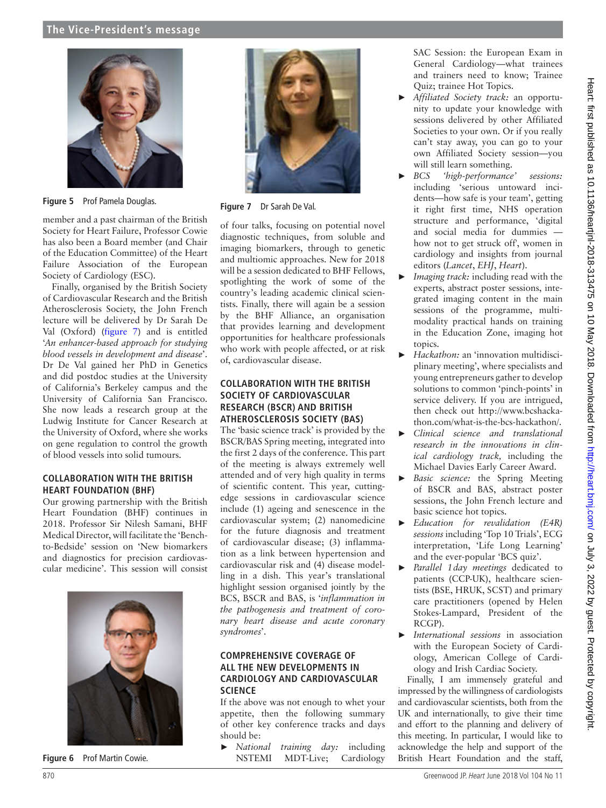

**Figure 5** Prof Pamela Douglas.

<span id="page-1-0"></span>member and a past chairman of the British Society for Heart Failure, Professor Cowie has also been a Board member (and Chair of the Education Committee) of the Heart Failure Association of the European Society of Cardiology (ESC).

Finally, organised by the British Society of Cardiovascular Research and the British Atherosclerosis Society, the John French lecture will be delivered by Dr Sarah De Val (Oxford) ([figure](#page-1-2) 7) and is entitled '*An enhancer-based approach for studying blood vessels in development and disease*'. Dr De Val gained her PhD in Genetics and did postdoc studies at the University of California's Berkeley campus and the University of California San Francisco. She now leads a research group at the Ludwig Institute for Cancer Research at the University of Oxford, where she works on gene regulation to control the growth of blood vessels into solid tumours.

#### **Collaboration with the British Heart Foundation (BHF)**

Our growing partnership with the British Heart Foundation (BHF) continues in 2018. Professor Sir Nilesh Samani, BHF Medical Director, will facilitate the 'Benchto-Bedside' session on 'New biomarkers and diagnostics for precision cardiovascular medicine'. This session will consist



**Figure 6** Prof Martin Cowie.



**Figure 7** Dr Sarah De Val.

<span id="page-1-2"></span>of four talks, focusing on potential novel diagnostic techniques, from soluble and imaging biomarkers, through to genetic and multiomic approaches. New for 2018 will be a session dedicated to BHF Fellows, spotlighting the work of some of the country's leading academic clinical scientists. Finally, there will again be a session by the BHF Alliance, an organisation that provides learning and development opportunities for healthcare professionals who work with people affected, or at risk of, cardiovascular disease.

## **Collaboration with the British Society of Cardiovascular Research (BSCR) and British Atherosclerosis Society (BAS)**

The 'basic science track' is provided by the BSCR/BAS Spring meeting, integrated into the first 2 days of the conference. This part of the meeting is always extremely well attended and of very high quality in terms of scientific content. This year, cuttingedge sessions in cardiovascular science include (1) ageing and senescence in the cardiovascular system; (2) nanomedicine for the future diagnosis and treatment of cardiovascular disease; (3) inflammation as a link between hypertension and cardiovascular risk and (4) disease modelling in a dish. This year's translational highlight session organised jointly by the BCS, BSCR and BAS, is '*inflammation in the pathogenesis and treatment of coronary heart disease and acute coronary syndromes*'.

#### **Comprehensive coverage of all the new developments in cardiology and cardiovascular science**

If the above was not enough to whet your appetite, then the following summary of other key conference tracks and days should be:

<span id="page-1-1"></span>► *National training day:* including NSTEMI MDT-Live; Cardiology SAC Session: the European Exam in General Cardiology—what trainees and trainers need to know; Trainee Quiz; trainee Hot Topics.

- ► *Affiliated Society track:* an opportunity to update your knowledge with sessions delivered by other Affiliated Societies to your own. Or if you really can't stay away, you can go to your own Affiliated Society session—you will still learn something.
- ► *BCS 'high-performance' sessions:* including 'serious untoward incidents—how safe is your team', getting it right first time, NHS operation structure and performance, 'digital and social media for dummies how not to get struck off', women in cardiology and insights from journal editors (*Lancet*, *EHJ*, *Heart*).
- *Imaging track:* including read with the experts, abstract poster sessions, integrated imaging content in the main sessions of the programme, multimodality practical hands on training in the Education Zone, imaging hot topics.
- ► *Hackathon:* an 'innovation multidisciplinary meeting', where specialists and young entrepreneurs gather to develop solutions to common 'pinch-points' in service delivery. If you are intrigued, then check out [http://www.bcshacka](http://www.bcshackathon.com/what-is-the-bcs-hackathon/)[thon.com/what-is-the-bcs-hackathon/.](http://www.bcshackathon.com/what-is-the-bcs-hackathon/)
- ► *Clinical science and translational research in the innovations in clinical cardiology track,* including the Michael Davies Early Career Award.
- ► *Basic science:* the Spring Meeting of BSCR and BAS, abstract poster sessions, the John French lecture and basic science hot topics.
- ► *Education for revalidation (E4R) sessions* including 'Top 10 Trials', ECG interpretation, 'Life Long Learning' and the ever-popular 'BCS quiz'.
- Parallel 1 day meetings dedicated to patients (CCP-UK), healthcare scientists (BSE, HRUK, SCST) and primary care practitioners (opened by Helen Stokes-Lampard, President of the RCGP).
- ► *International sessions* in association with the European Society of Cardiology, American College of Cardiology and Irish Cardiac Society.

Finally, I am immensely grateful and impressed by the willingness of cardiologists and cardiovascular scientists, both from the UK and internationally, to give their time and effort to the planning and delivery of this meeting. In particular, I would like to acknowledge the help and support of the British Heart Foundation and the staff,